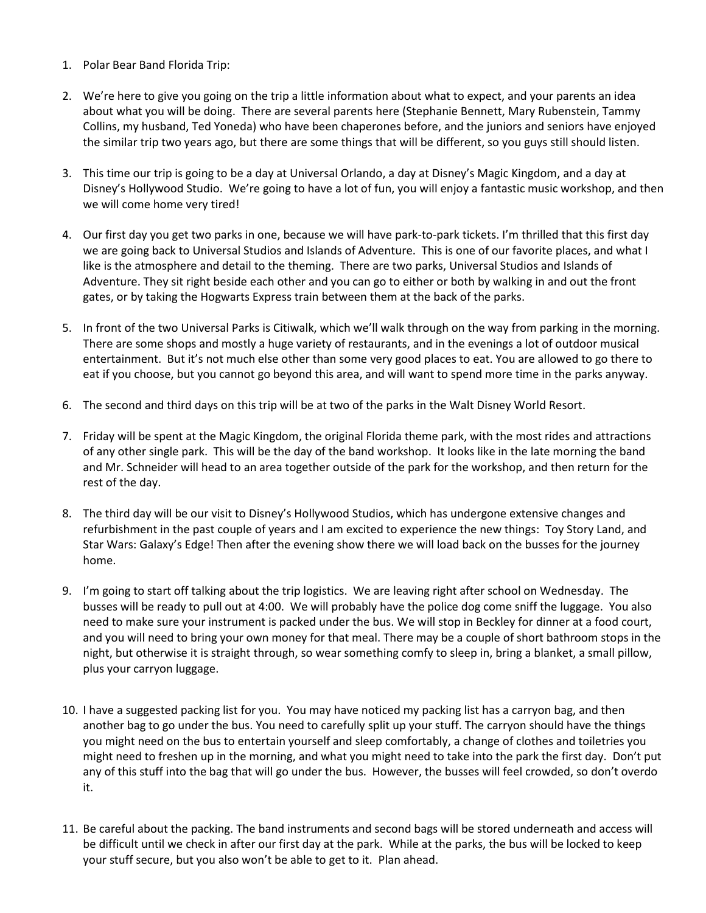- 1. Polar Bear Band Florida Trip:
- 2. We're here to give you going on the trip a little information about what to expect, and your parents an idea about what you will be doing. There are several parents here (Stephanie Bennett, Mary Rubenstein, Tammy Collins, my husband, Ted Yoneda) who have been chaperones before, and the juniors and seniors have enjoyed the similar trip two years ago, but there are some things that will be different, so you guys still should listen.
- 3. This time our trip is going to be a day at Universal Orlando, a day at Disney's Magic Kingdom, and a day at Disney's Hollywood Studio. We're going to have a lot of fun, you will enjoy a fantastic music workshop, and then we will come home very tired!
- 4. Our first day you get two parks in one, because we will have park-to-park tickets. I'm thrilled that this first day we are going back to Universal Studios and Islands of Adventure. This is one of our favorite places, and what I like is the atmosphere and detail to the theming. There are two parks, Universal Studios and Islands of Adventure. They sit right beside each other and you can go to either or both by walking in and out the front gates, or by taking the Hogwarts Express train between them at the back of the parks.
- 5. In front of the two Universal Parks is Citiwalk, which we'll walk through on the way from parking in the morning. There are some shops and mostly a huge variety of restaurants, and in the evenings a lot of outdoor musical entertainment. But it's not much else other than some very good places to eat. You are allowed to go there to eat if you choose, but you cannot go beyond this area, and will want to spend more time in the parks anyway.
- 6. The second and third days on this trip will be at two of the parks in the Walt Disney World Resort.
- 7. Friday will be spent at the Magic Kingdom, the original Florida theme park, with the most rides and attractions of any other single park. This will be the day of the band workshop. It looks like in the late morning the band and Mr. Schneider will head to an area together outside of the park for the workshop, and then return for the rest of the day.
- 8. The third day will be our visit to Disney's Hollywood Studios, which has undergone extensive changes and refurbishment in the past couple of years and I am excited to experience the new things: Toy Story Land, and Star Wars: Galaxy's Edge! Then after the evening show there we will load back on the busses for the journey home.
- 9. I'm going to start off talking about the trip logistics. We are leaving right after school on Wednesday. The busses will be ready to pull out at 4:00. We will probably have the police dog come sniff the luggage. You also need to make sure your instrument is packed under the bus. We will stop in Beckley for dinner at a food court, and you will need to bring your own money for that meal. There may be a couple of short bathroom stops in the night, but otherwise it is straight through, so wear something comfy to sleep in, bring a blanket, a small pillow, plus your carryon luggage.
- 10. I have a suggested packing list for you. You may have noticed my packing list has a carryon bag, and then another bag to go under the bus. You need to carefully split up your stuff. The carryon should have the things you might need on the bus to entertain yourself and sleep comfortably, a change of clothes and toiletries you might need to freshen up in the morning, and what you might need to take into the park the first day. Don't put any of this stuff into the bag that will go under the bus. However, the busses will feel crowded, so don't overdo it.
- 11. Be careful about the packing. The band instruments and second bags will be stored underneath and access will be difficult until we check in after our first day at the park. While at the parks, the bus will be locked to keep your stuff secure, but you also won't be able to get to it. Plan ahead.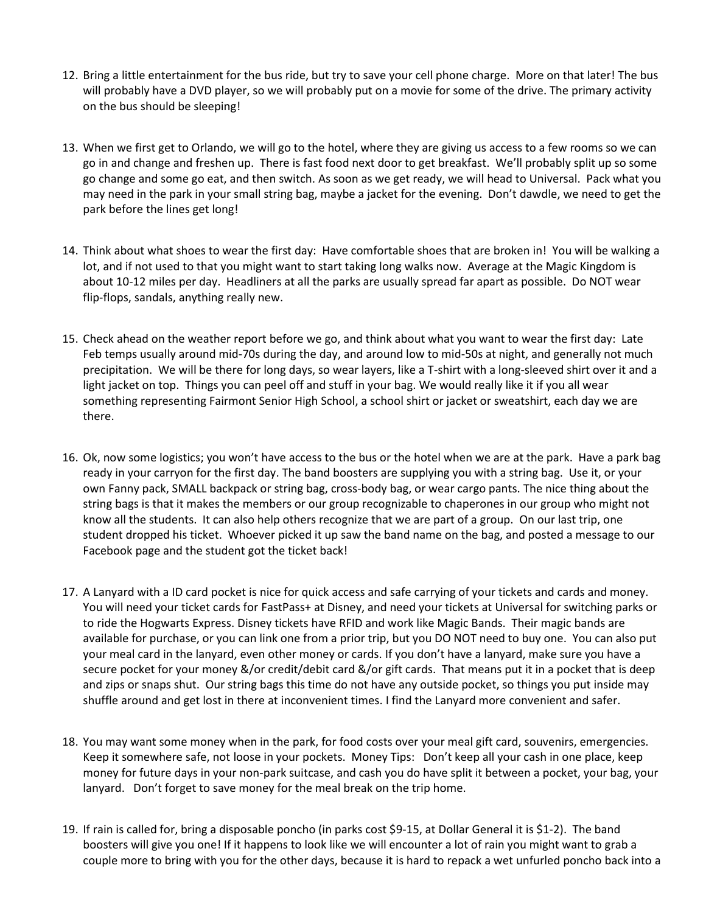- 12. Bring a little entertainment for the bus ride, but try to save your cell phone charge. More on that later! The bus will probably have a DVD player, so we will probably put on a movie for some of the drive. The primary activity on the bus should be sleeping!
- 13. When we first get to Orlando, we will go to the hotel, where they are giving us access to a few rooms so we can go in and change and freshen up. There is fast food next door to get breakfast. We'll probably split up so some go change and some go eat, and then switch. As soon as we get ready, we will head to Universal. Pack what you may need in the park in your small string bag, maybe a jacket for the evening. Don't dawdle, we need to get the park before the lines get long!
- 14. Think about what shoes to wear the first day: Have comfortable shoes that are broken in! You will be walking a lot, and if not used to that you might want to start taking long walks now. Average at the Magic Kingdom is about 10-12 miles per day. Headliners at all the parks are usually spread far apart as possible. Do NOT wear flip-flops, sandals, anything really new.
- 15. Check ahead on the weather report before we go, and think about what you want to wear the first day: Late Feb temps usually around mid-70s during the day, and around low to mid-50s at night, and generally not much precipitation. We will be there for long days, so wear layers, like a T-shirt with a long-sleeved shirt over it and a light jacket on top. Things you can peel off and stuff in your bag. We would really like it if you all wear something representing Fairmont Senior High School, a school shirt or jacket or sweatshirt, each day we are there.
- 16. Ok, now some logistics; you won't have access to the bus or the hotel when we are at the park. Have a park bag ready in your carryon for the first day. The band boosters are supplying you with a string bag. Use it, or your own Fanny pack, SMALL backpack or string bag, cross-body bag, or wear cargo pants. The nice thing about the string bags is that it makes the members or our group recognizable to chaperones in our group who might not know all the students. It can also help others recognize that we are part of a group. On our last trip, one student dropped his ticket. Whoever picked it up saw the band name on the bag, and posted a message to our Facebook page and the student got the ticket back!
- 17. A Lanyard with a ID card pocket is nice for quick access and safe carrying of your tickets and cards and money. You will need your ticket cards for FastPass+ at Disney, and need your tickets at Universal for switching parks or to ride the Hogwarts Express. Disney tickets have RFID and work like Magic Bands. Their magic bands are available for purchase, or you can link one from a prior trip, but you DO NOT need to buy one. You can also put your meal card in the lanyard, even other money or cards. If you don't have a lanyard, make sure you have a secure pocket for your money &/or credit/debit card &/or gift cards. That means put it in a pocket that is deep and zips or snaps shut. Our string bags this time do not have any outside pocket, so things you put inside may shuffle around and get lost in there at inconvenient times. I find the Lanyard more convenient and safer.
- 18. You may want some money when in the park, for food costs over your meal gift card, souvenirs, emergencies. Keep it somewhere safe, not loose in your pockets. Money Tips: Don't keep all your cash in one place, keep money for future days in your non-park suitcase, and cash you do have split it between a pocket, your bag, your lanyard. Don't forget to save money for the meal break on the trip home.
- 19. If rain is called for, bring a disposable poncho (in parks cost \$9-15, at Dollar General it is \$1-2). The band boosters will give you one! If it happens to look like we will encounter a lot of rain you might want to grab a couple more to bring with you for the other days, because it is hard to repack a wet unfurled poncho back into a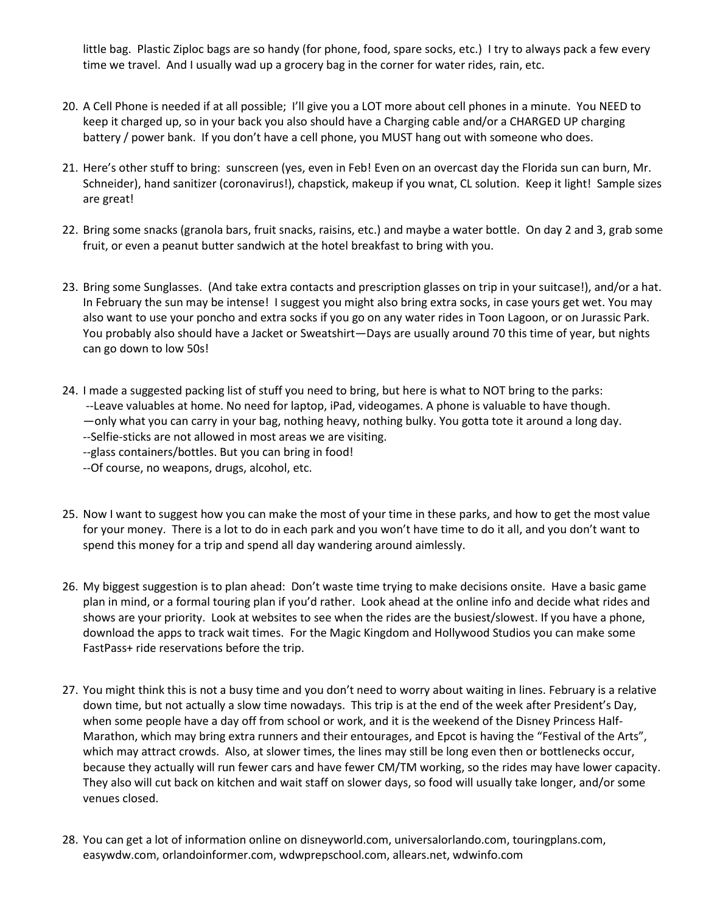little bag. Plastic Ziploc bags are so handy (for phone, food, spare socks, etc.) I try to always pack a few every time we travel. And I usually wad up a grocery bag in the corner for water rides, rain, etc.

- 20. A Cell Phone is needed if at all possible; I'll give you a LOT more about cell phones in a minute. You NEED to keep it charged up, so in your back you also should have a Charging cable and/or a CHARGED UP charging battery / power bank. If you don't have a cell phone, you MUST hang out with someone who does.
- 21. Here's other stuff to bring: sunscreen (yes, even in Feb! Even on an overcast day the Florida sun can burn, Mr. Schneider), hand sanitizer (coronavirus!), chapstick, makeup if you wnat, CL solution. Keep it light! Sample sizes are great!
- 22. Bring some snacks (granola bars, fruit snacks, raisins, etc.) and maybe a water bottle. On day 2 and 3, grab some fruit, or even a peanut butter sandwich at the hotel breakfast to bring with you.
- 23. Bring some Sunglasses. (And take extra contacts and prescription glasses on trip in your suitcase!), and/or a hat. In February the sun may be intense! I suggest you might also bring extra socks, in case yours get wet. You may also want to use your poncho and extra socks if you go on any water rides in Toon Lagoon, or on Jurassic Park. You probably also should have a Jacket or Sweatshirt—Days are usually around 70 this time of year, but nights can go down to low 50s!
- 24. I made a suggested packing list of stuff you need to bring, but here is what to NOT bring to the parks: --Leave valuables at home. No need for laptop, iPad, videogames. A phone is valuable to have though. —only what you can carry in your bag, nothing heavy, nothing bulky. You gotta tote it around a long day. --Selfie-sticks are not allowed in most areas we are visiting.

--glass containers/bottles. But you can bring in food!

--Of course, no weapons, drugs, alcohol, etc.

- 25. Now I want to suggest how you can make the most of your time in these parks, and how to get the most value for your money. There is a lot to do in each park and you won't have time to do it all, and you don't want to spend this money for a trip and spend all day wandering around aimlessly.
- 26. My biggest suggestion is to plan ahead: Don't waste time trying to make decisions onsite. Have a basic game plan in mind, or a formal touring plan if you'd rather. Look ahead at the online info and decide what rides and shows are your priority. Look at websites to see when the rides are the busiest/slowest. If you have a phone, download the apps to track wait times. For the Magic Kingdom and Hollywood Studios you can make some FastPass+ ride reservations before the trip.
- 27. You might think this is not a busy time and you don't need to worry about waiting in lines. February is a relative down time, but not actually a slow time nowadays. This trip is at the end of the week after President's Day, when some people have a day off from school or work, and it is the weekend of the Disney Princess Half-Marathon, which may bring extra runners and their entourages, and Epcot is having the "Festival of the Arts", which may attract crowds. Also, at slower times, the lines may still be long even then or bottlenecks occur, because they actually will run fewer cars and have fewer CM/TM working, so the rides may have lower capacity. They also will cut back on kitchen and wait staff on slower days, so food will usually take longer, and/or some venues closed.
- 28. You can get a lot of information online on disneyworld.com, universalorlando.com, touringplans.com, easywdw.com, orlandoinformer.com, wdwprepschool.com, allears.net, wdwinfo.com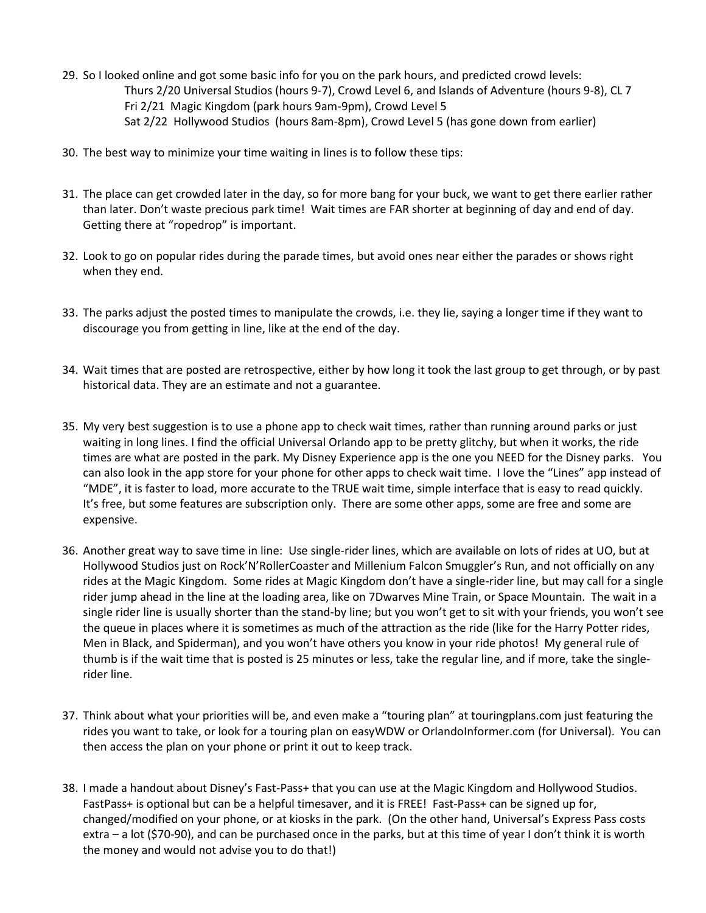- 29. So I looked online and got some basic info for you on the park hours, and predicted crowd levels: Thurs 2/20 Universal Studios (hours 9-7), Crowd Level 6, and Islands of Adventure (hours 9-8), CL 7 Fri 2/21 Magic Kingdom (park hours 9am-9pm), Crowd Level 5 Sat 2/22 Hollywood Studios (hours 8am-8pm), Crowd Level 5 (has gone down from earlier)
- 30. The best way to minimize your time waiting in lines is to follow these tips:
- 31. The place can get crowded later in the day, so for more bang for your buck, we want to get there earlier rather than later. Don't waste precious park time! Wait times are FAR shorter at beginning of day and end of day. Getting there at "ropedrop" is important.
- 32. Look to go on popular rides during the parade times, but avoid ones near either the parades or shows right when they end.
- 33. The parks adjust the posted times to manipulate the crowds, i.e. they lie, saying a longer time if they want to discourage you from getting in line, like at the end of the day.
- 34. Wait times that are posted are retrospective, either by how long it took the last group to get through, or by past historical data. They are an estimate and not a guarantee.
- 35. My very best suggestion is to use a phone app to check wait times, rather than running around parks or just waiting in long lines. I find the official Universal Orlando app to be pretty glitchy, but when it works, the ride times are what are posted in the park. My Disney Experience app is the one you NEED for the Disney parks. You can also look in the app store for your phone for other apps to check wait time. I love the "Lines" app instead of "MDE", it is faster to load, more accurate to the TRUE wait time, simple interface that is easy to read quickly. It's free, but some features are subscription only. There are some other apps, some are free and some are expensive.
- 36. Another great way to save time in line: Use single-rider lines, which are available on lots of rides at UO, but at Hollywood Studios just on Rock'N'RollerCoaster and Millenium Falcon Smuggler's Run, and not officially on any rides at the Magic Kingdom. Some rides at Magic Kingdom don't have a single-rider line, but may call for a single rider jump ahead in the line at the loading area, like on 7Dwarves Mine Train, or Space Mountain. The wait in a single rider line is usually shorter than the stand-by line; but you won't get to sit with your friends, you won't see the queue in places where it is sometimes as much of the attraction as the ride (like for the Harry Potter rides, Men in Black, and Spiderman), and you won't have others you know in your ride photos! My general rule of thumb is if the wait time that is posted is 25 minutes or less, take the regular line, and if more, take the singlerider line.
- 37. Think about what your priorities will be, and even make a "touring plan" at touringplans.com just featuring the rides you want to take, or look for a touring plan on easyWDW or OrlandoInformer.com (for Universal). You can then access the plan on your phone or print it out to keep track.
- 38. I made a handout about Disney's Fast-Pass+ that you can use at the Magic Kingdom and Hollywood Studios. FastPass+ is optional but can be a helpful timesaver, and it is FREE! Fast-Pass+ can be signed up for, changed/modified on your phone, or at kiosks in the park. (On the other hand, Universal's Express Pass costs extra – a lot (\$70-90), and can be purchased once in the parks, but at this time of year I don't think it is worth the money and would not advise you to do that!)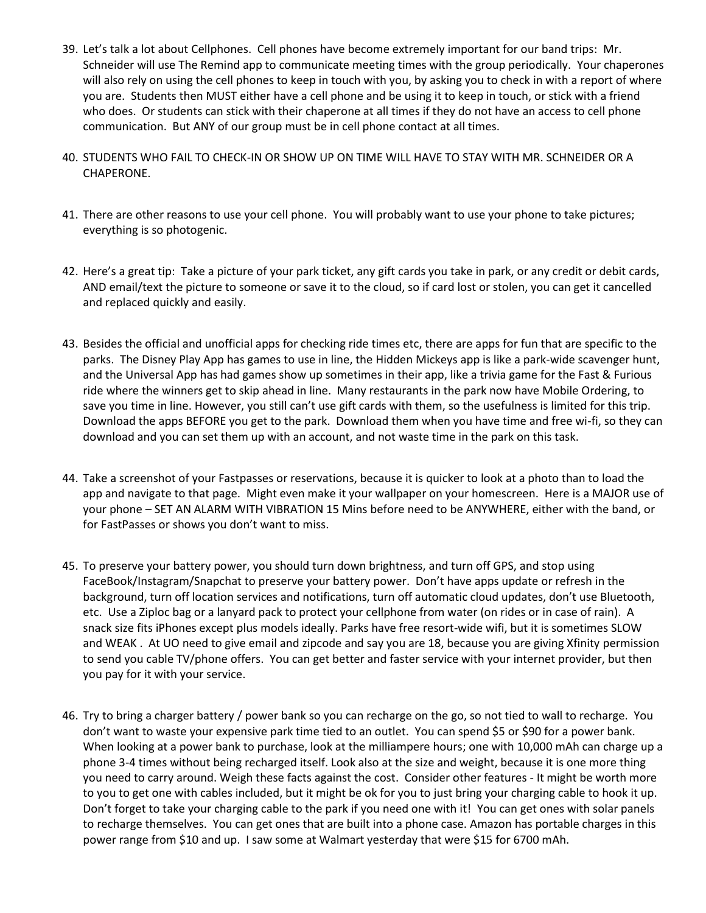- 39. Let's talk a lot about Cellphones. Cell phones have become extremely important for our band trips: Mr. Schneider will use The Remind app to communicate meeting times with the group periodically. Your chaperones will also rely on using the cell phones to keep in touch with you, by asking you to check in with a report of where you are. Students then MUST either have a cell phone and be using it to keep in touch, or stick with a friend who does. Or students can stick with their chaperone at all times if they do not have an access to cell phone communication. But ANY of our group must be in cell phone contact at all times.
- 40. STUDENTS WHO FAIL TO CHECK-IN OR SHOW UP ON TIME WILL HAVE TO STAY WITH MR. SCHNEIDER OR A CHAPERONE.
- 41. There are other reasons to use your cell phone. You will probably want to use your phone to take pictures; everything is so photogenic.
- 42. Here's a great tip: Take a picture of your park ticket, any gift cards you take in park, or any credit or debit cards, AND email/text the picture to someone or save it to the cloud, so if card lost or stolen, you can get it cancelled and replaced quickly and easily.
- 43. Besides the official and unofficial apps for checking ride times etc, there are apps for fun that are specific to the parks. The Disney Play App has games to use in line, the Hidden Mickeys app is like a park-wide scavenger hunt, and the Universal App has had games show up sometimes in their app, like a trivia game for the Fast & Furious ride where the winners get to skip ahead in line. Many restaurants in the park now have Mobile Ordering, to save you time in line. However, you still can't use gift cards with them, so the usefulness is limited for this trip. Download the apps BEFORE you get to the park. Download them when you have time and free wi-fi, so they can download and you can set them up with an account, and not waste time in the park on this task.
- 44. Take a screenshot of your Fastpasses or reservations, because it is quicker to look at a photo than to load the app and navigate to that page. Might even make it your wallpaper on your homescreen. Here is a MAJOR use of your phone – SET AN ALARM WITH VIBRATION 15 Mins before need to be ANYWHERE, either with the band, or for FastPasses or shows you don't want to miss.
- 45. To preserve your battery power, you should turn down brightness, and turn off GPS, and stop using FaceBook/Instagram/Snapchat to preserve your battery power. Don't have apps update or refresh in the background, turn off location services and notifications, turn off automatic cloud updates, don't use Bluetooth, etc. Use a Ziploc bag or a lanyard pack to protect your cellphone from water (on rides or in case of rain). A snack size fits iPhones except plus models ideally. Parks have free resort-wide wifi, but it is sometimes SLOW and WEAK . At UO need to give email and zipcode and say you are 18, because you are giving Xfinity permission to send you cable TV/phone offers. You can get better and faster service with your internet provider, but then you pay for it with your service.
- 46. Try to bring a charger battery / power bank so you can recharge on the go, so not tied to wall to recharge. You don't want to waste your expensive park time tied to an outlet. You can spend \$5 or \$90 for a power bank. When looking at a power bank to purchase, look at the milliampere hours; one with 10,000 mAh can charge up a phone 3-4 times without being recharged itself. Look also at the size and weight, because it is one more thing you need to carry around. Weigh these facts against the cost. Consider other features - It might be worth more to you to get one with cables included, but it might be ok for you to just bring your charging cable to hook it up. Don't forget to take your charging cable to the park if you need one with it! You can get ones with solar panels to recharge themselves. You can get ones that are built into a phone case. Amazon has portable charges in this power range from \$10 and up. I saw some at Walmart yesterday that were \$15 for 6700 mAh.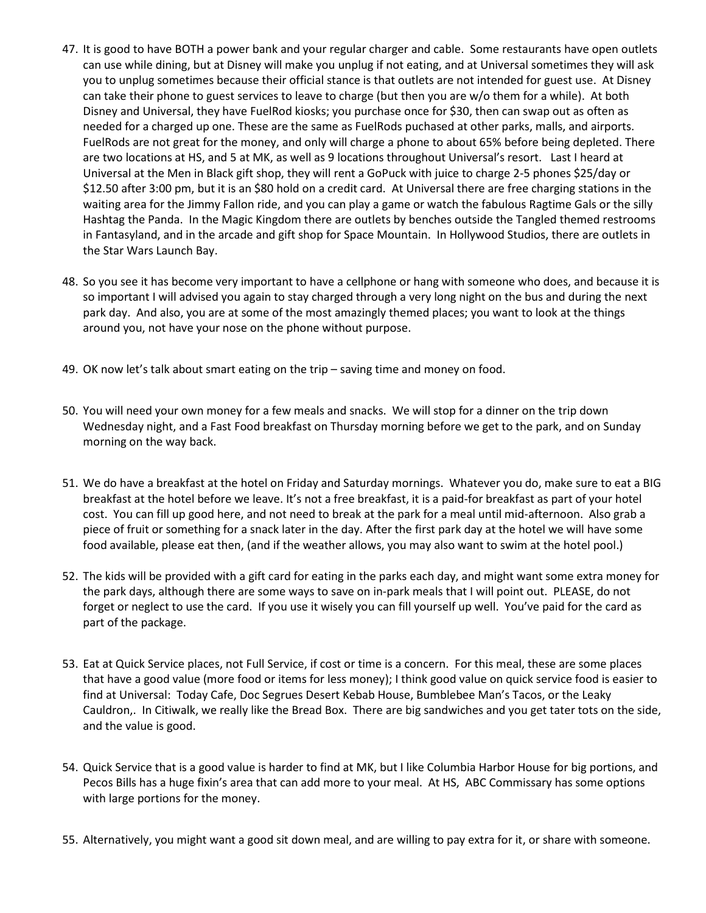- 47. It is good to have BOTH a power bank and your regular charger and cable. Some restaurants have open outlets can use while dining, but at Disney will make you unplug if not eating, and at Universal sometimes they will ask you to unplug sometimes because their official stance is that outlets are not intended for guest use. At Disney can take their phone to guest services to leave to charge (but then you are w/o them for a while). At both Disney and Universal, they have FuelRod kiosks; you purchase once for \$30, then can swap out as often as needed for a charged up one. These are the same as FuelRods puchased at other parks, malls, and airports. FuelRods are not great for the money, and only will charge a phone to about 65% before being depleted. There are two locations at HS, and 5 at MK, as well as 9 locations throughout Universal's resort. Last I heard at Universal at the Men in Black gift shop, they will rent a GoPuck with juice to charge 2-5 phones \$25/day or \$12.50 after 3:00 pm, but it is an \$80 hold on a credit card. At Universal there are free charging stations in the waiting area for the Jimmy Fallon ride, and you can play a game or watch the fabulous Ragtime Gals or the silly Hashtag the Panda. In the Magic Kingdom there are outlets by benches outside the Tangled themed restrooms in Fantasyland, and in the arcade and gift shop for Space Mountain. In Hollywood Studios, there are outlets in the Star Wars Launch Bay.
- 48. So you see it has become very important to have a cellphone or hang with someone who does, and because it is so important I will advised you again to stay charged through a very long night on the bus and during the next park day. And also, you are at some of the most amazingly themed places; you want to look at the things around you, not have your nose on the phone without purpose.
- 49. OK now let's talk about smart eating on the trip saving time and money on food.
- 50. You will need your own money for a few meals and snacks. We will stop for a dinner on the trip down Wednesday night, and a Fast Food breakfast on Thursday morning before we get to the park, and on Sunday morning on the way back.
- 51. We do have a breakfast at the hotel on Friday and Saturday mornings. Whatever you do, make sure to eat a BIG breakfast at the hotel before we leave. It's not a free breakfast, it is a paid-for breakfast as part of your hotel cost. You can fill up good here, and not need to break at the park for a meal until mid-afternoon. Also grab a piece of fruit or something for a snack later in the day. After the first park day at the hotel we will have some food available, please eat then, (and if the weather allows, you may also want to swim at the hotel pool.)
- 52. The kids will be provided with a gift card for eating in the parks each day, and might want some extra money for the park days, although there are some ways to save on in-park meals that I will point out. PLEASE, do not forget or neglect to use the card. If you use it wisely you can fill yourself up well. You've paid for the card as part of the package.
- 53. Eat at Quick Service places, not Full Service, if cost or time is a concern. For this meal, these are some places that have a good value (more food or items for less money); I think good value on quick service food is easier to find at Universal: Today Cafe, Doc Segrues Desert Kebab House, Bumblebee Man's Tacos, or the Leaky Cauldron,. In Citiwalk, we really like the Bread Box. There are big sandwiches and you get tater tots on the side, and the value is good.
- 54. Quick Service that is a good value is harder to find at MK, but I like Columbia Harbor House for big portions, and Pecos Bills has a huge fixin's area that can add more to your meal. At HS, ABC Commissary has some options with large portions for the money.
- 55. Alternatively, you might want a good sit down meal, and are willing to pay extra for it, or share with someone.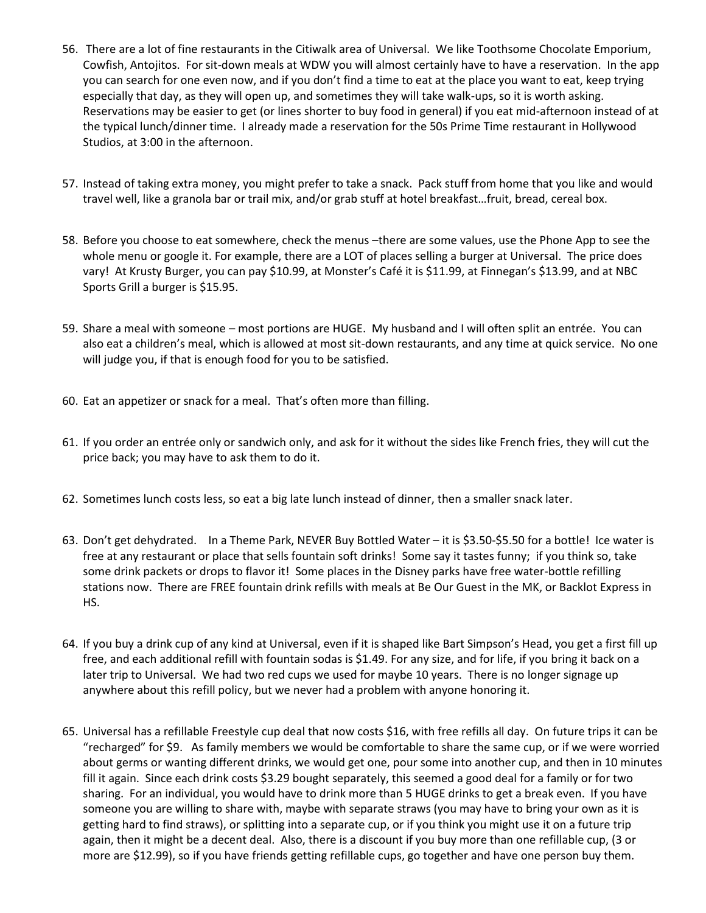- 56. There are a lot of fine restaurants in the Citiwalk area of Universal. We like Toothsome Chocolate Emporium, Cowfish, Antojitos. For sit-down meals at WDW you will almost certainly have to have a reservation. In the app you can search for one even now, and if you don't find a time to eat at the place you want to eat, keep trying especially that day, as they will open up, and sometimes they will take walk-ups, so it is worth asking. Reservations may be easier to get (or lines shorter to buy food in general) if you eat mid-afternoon instead of at the typical lunch/dinner time. I already made a reservation for the 50s Prime Time restaurant in Hollywood Studios, at 3:00 in the afternoon.
- 57. Instead of taking extra money, you might prefer to take a snack. Pack stuff from home that you like and would travel well, like a granola bar or trail mix, and/or grab stuff at hotel breakfast…fruit, bread, cereal box.
- 58. Before you choose to eat somewhere, check the menus –there are some values, use the Phone App to see the whole menu or google it. For example, there are a LOT of places selling a burger at Universal. The price does vary! At Krusty Burger, you can pay \$10.99, at Monster's Café it is \$11.99, at Finnegan's \$13.99, and at NBC Sports Grill a burger is \$15.95.
- 59. Share a meal with someone most portions are HUGE. My husband and I will often split an entrée. You can also eat a children's meal, which is allowed at most sit-down restaurants, and any time at quick service. No one will judge you, if that is enough food for you to be satisfied.
- 60. Eat an appetizer or snack for a meal. That's often more than filling.
- 61. If you order an entrée only or sandwich only, and ask for it without the sides like French fries, they will cut the price back; you may have to ask them to do it.
- 62. Sometimes lunch costs less, so eat a big late lunch instead of dinner, then a smaller snack later.
- 63. Don't get dehydrated. In a Theme Park, NEVER Buy Bottled Water it is \$3.50-\$5.50 for a bottle! Ice water is free at any restaurant or place that sells fountain soft drinks! Some say it tastes funny; if you think so, take some drink packets or drops to flavor it! Some places in the Disney parks have free water-bottle refilling stations now. There are FREE fountain drink refills with meals at Be Our Guest in the MK, or Backlot Express in HS.
- 64. If you buy a drink cup of any kind at Universal, even if it is shaped like Bart Simpson's Head, you get a first fill up free, and each additional refill with fountain sodas is \$1.49. For any size, and for life, if you bring it back on a later trip to Universal. We had two red cups we used for maybe 10 years. There is no longer signage up anywhere about this refill policy, but we never had a problem with anyone honoring it.
- 65. Universal has a refillable Freestyle cup deal that now costs \$16, with free refills all day. On future trips it can be "recharged" for \$9. As family members we would be comfortable to share the same cup, or if we were worried about germs or wanting different drinks, we would get one, pour some into another cup, and then in 10 minutes fill it again. Since each drink costs \$3.29 bought separately, this seemed a good deal for a family or for two sharing. For an individual, you would have to drink more than 5 HUGE drinks to get a break even. If you have someone you are willing to share with, maybe with separate straws (you may have to bring your own as it is getting hard to find straws), or splitting into a separate cup, or if you think you might use it on a future trip again, then it might be a decent deal. Also, there is a discount if you buy more than one refillable cup, (3 or more are \$12.99), so if you have friends getting refillable cups, go together and have one person buy them.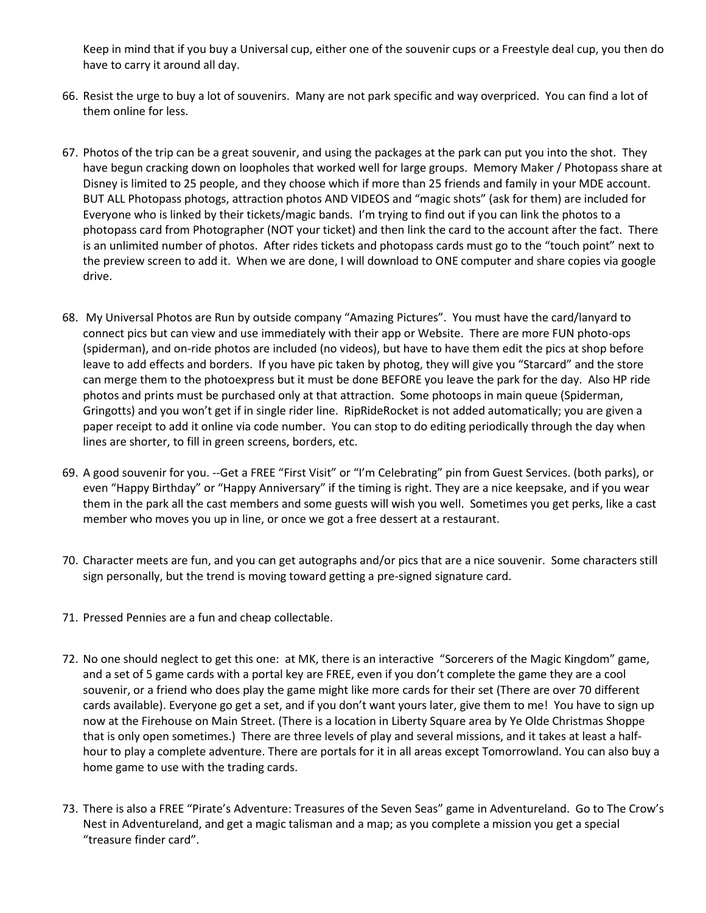Keep in mind that if you buy a Universal cup, either one of the souvenir cups or a Freestyle deal cup, you then do have to carry it around all day.

- 66. Resist the urge to buy a lot of souvenirs. Many are not park specific and way overpriced. You can find a lot of them online for less.
- 67. Photos of the trip can be a great souvenir, and using the packages at the park can put you into the shot. They have begun cracking down on loopholes that worked well for large groups. Memory Maker / Photopass share at Disney is limited to 25 people, and they choose which if more than 25 friends and family in your MDE account. BUT ALL Photopass photogs, attraction photos AND VIDEOS and "magic shots" (ask for them) are included for Everyone who is linked by their tickets/magic bands. I'm trying to find out if you can link the photos to a photopass card from Photographer (NOT your ticket) and then link the card to the account after the fact. There is an unlimited number of photos. After rides tickets and photopass cards must go to the "touch point" next to the preview screen to add it. When we are done, I will download to ONE computer and share copies via google drive.
- 68. My Universal Photos are Run by outside company "Amazing Pictures". You must have the card/lanyard to connect pics but can view and use immediately with their app or Website. There are more FUN photo-ops (spiderman), and on-ride photos are included (no videos), but have to have them edit the pics at shop before leave to add effects and borders. If you have pic taken by photog, they will give you "Starcard" and the store can merge them to the photoexpress but it must be done BEFORE you leave the park for the day. Also HP ride photos and prints must be purchased only at that attraction. Some photoops in main queue (Spiderman, Gringotts) and you won't get if in single rider line. RipRideRocket is not added automatically; you are given a paper receipt to add it online via code number. You can stop to do editing periodically through the day when lines are shorter, to fill in green screens, borders, etc.
- 69. A good souvenir for you. --Get a FREE "First Visit" or "I'm Celebrating" pin from Guest Services. (both parks), or even "Happy Birthday" or "Happy Anniversary" if the timing is right. They are a nice keepsake, and if you wear them in the park all the cast members and some guests will wish you well. Sometimes you get perks, like a cast member who moves you up in line, or once we got a free dessert at a restaurant.
- 70. Character meets are fun, and you can get autographs and/or pics that are a nice souvenir. Some characters still sign personally, but the trend is moving toward getting a pre-signed signature card.
- 71. Pressed Pennies are a fun and cheap collectable.
- 72. No one should neglect to get this one: at MK, there is an interactive "Sorcerers of the Magic Kingdom" game, and a set of 5 game cards with a portal key are FREE, even if you don't complete the game they are a cool souvenir, or a friend who does play the game might like more cards for their set (There are over 70 different cards available). Everyone go get a set, and if you don't want yours later, give them to me! You have to sign up now at the Firehouse on Main Street. (There is a location in Liberty Square area by Ye Olde Christmas Shoppe that is only open sometimes.) There are three levels of play and several missions, and it takes at least a halfhour to play a complete adventure. There are portals for it in all areas except Tomorrowland. You can also buy a home game to use with the trading cards.
- 73. There is also a FREE "Pirate's Adventure: Treasures of the Seven Seas" game in Adventureland. Go to The Crow's Nest in Adventureland, and get a magic talisman and a map; as you complete a mission you get a special "treasure finder card".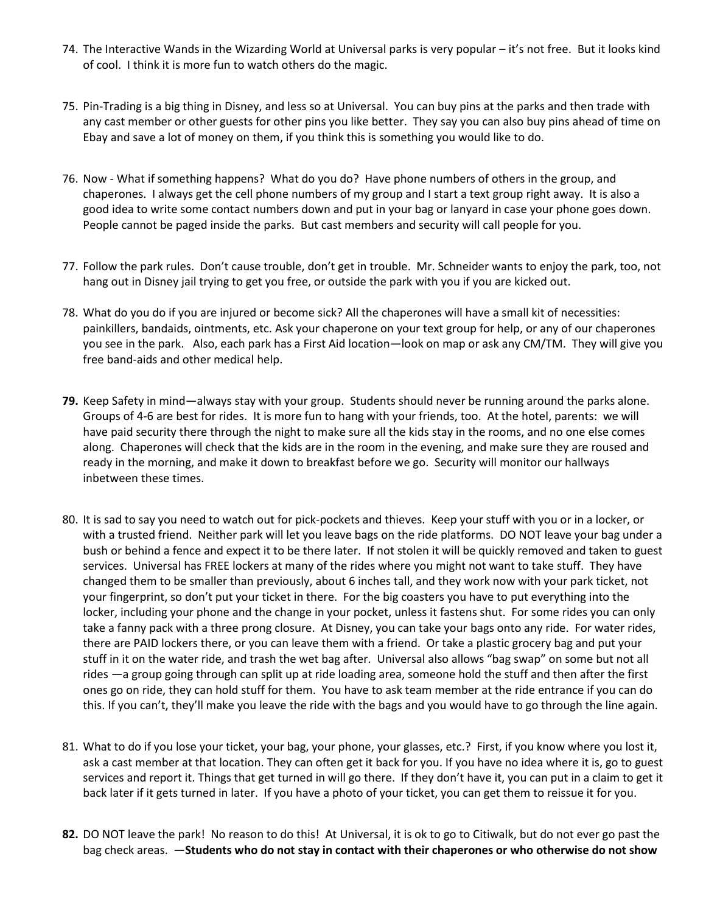- 74. The Interactive Wands in the Wizarding World at Universal parks is very popular it's not free. But it looks kind of cool. I think it is more fun to watch others do the magic.
- 75. Pin-Trading is a big thing in Disney, and less so at Universal. You can buy pins at the parks and then trade with any cast member or other guests for other pins you like better. They say you can also buy pins ahead of time on Ebay and save a lot of money on them, if you think this is something you would like to do.
- 76. Now What if something happens? What do you do? Have phone numbers of others in the group, and chaperones. I always get the cell phone numbers of my group and I start a text group right away. It is also a good idea to write some contact numbers down and put in your bag or lanyard in case your phone goes down. People cannot be paged inside the parks. But cast members and security will call people for you.
- 77. Follow the park rules. Don't cause trouble, don't get in trouble. Mr. Schneider wants to enjoy the park, too, not hang out in Disney jail trying to get you free, or outside the park with you if you are kicked out.
- 78. What do you do if you are injured or become sick? All the chaperones will have a small kit of necessities: painkillers, bandaids, ointments, etc. Ask your chaperone on your text group for help, or any of our chaperones you see in the park. Also, each park has a First Aid location—look on map or ask any CM/TM. They will give you free band-aids and other medical help.
- **79.** Keep Safety in mind—always stay with your group. Students should never be running around the parks alone. Groups of 4-6 are best for rides. It is more fun to hang with your friends, too. At the hotel, parents: we will have paid security there through the night to make sure all the kids stay in the rooms, and no one else comes along. Chaperones will check that the kids are in the room in the evening, and make sure they are roused and ready in the morning, and make it down to breakfast before we go. Security will monitor our hallways inbetween these times.
- 80. It is sad to say you need to watch out for pick-pockets and thieves. Keep your stuff with you or in a locker, or with a trusted friend. Neither park will let you leave bags on the ride platforms. DO NOT leave your bag under a bush or behind a fence and expect it to be there later. If not stolen it will be quickly removed and taken to guest services. Universal has FREE lockers at many of the rides where you might not want to take stuff. They have changed them to be smaller than previously, about 6 inches tall, and they work now with your park ticket, not your fingerprint, so don't put your ticket in there. For the big coasters you have to put everything into the locker, including your phone and the change in your pocket, unless it fastens shut. For some rides you can only take a fanny pack with a three prong closure. At Disney, you can take your bags onto any ride. For water rides, there are PAID lockers there, or you can leave them with a friend. Or take a plastic grocery bag and put your stuff in it on the water ride, and trash the wet bag after. Universal also allows "bag swap" on some but not all rides —a group going through can split up at ride loading area, someone hold the stuff and then after the first ones go on ride, they can hold stuff for them. You have to ask team member at the ride entrance if you can do this. If you can't, they'll make you leave the ride with the bags and you would have to go through the line again.
- 81. What to do if you lose your ticket, your bag, your phone, your glasses, etc.? First, if you know where you lost it, ask a cast member at that location. They can often get it back for you. If you have no idea where it is, go to guest services and report it. Things that get turned in will go there. If they don't have it, you can put in a claim to get it back later if it gets turned in later. If you have a photo of your ticket, you can get them to reissue it for you.
- **82.** DO NOT leave the park! No reason to do this! At Universal, it is ok to go to Citiwalk, but do not ever go past the bag check areas. —**Students who do not stay in contact with their chaperones or who otherwise do not show**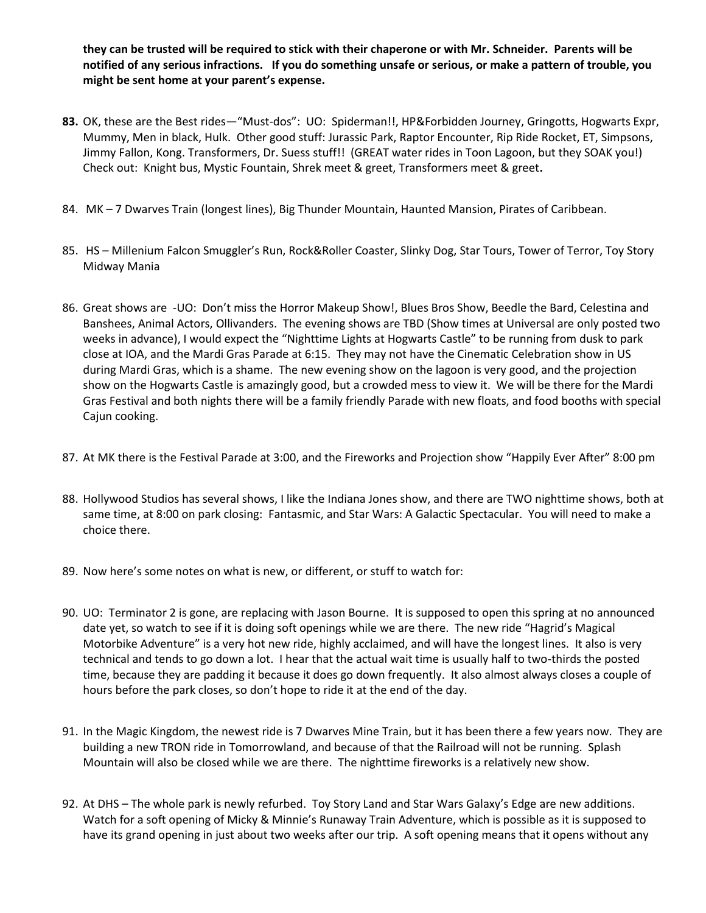**they can be trusted will be required to stick with their chaperone or with Mr. Schneider. Parents will be notified of any serious infractions. If you do something unsafe or serious, or make a pattern of trouble, you might be sent home at your parent's expense.** 

- **83.** OK, these are the Best rides—"Must-dos": UO: Spiderman!!, HP&Forbidden Journey, Gringotts, Hogwarts Expr, Mummy, Men in black, Hulk. Other good stuff: Jurassic Park, Raptor Encounter, Rip Ride Rocket, ET, Simpsons, Jimmy Fallon, Kong. Transformers, Dr. Suess stuff!! (GREAT water rides in Toon Lagoon, but they SOAK you!) Check out: Knight bus, Mystic Fountain, Shrek meet & greet, Transformers meet & greet**.**
- 84. MK 7 Dwarves Train (longest lines), Big Thunder Mountain, Haunted Mansion, Pirates of Caribbean.
- 85. HS Millenium Falcon Smuggler's Run, Rock&Roller Coaster, Slinky Dog, Star Tours, Tower of Terror, Toy Story Midway Mania
- 86. Great shows are -UO: Don't miss the Horror Makeup Show!, Blues Bros Show, Beedle the Bard, Celestina and Banshees, Animal Actors, Ollivanders. The evening shows are TBD (Show times at Universal are only posted two weeks in advance), I would expect the "Nighttime Lights at Hogwarts Castle" to be running from dusk to park close at IOA, and the Mardi Gras Parade at 6:15. They may not have the Cinematic Celebration show in US during Mardi Gras, which is a shame. The new evening show on the lagoon is very good, and the projection show on the Hogwarts Castle is amazingly good, but a crowded mess to view it. We will be there for the Mardi Gras Festival and both nights there will be a family friendly Parade with new floats, and food booths with special Cajun cooking.
- 87. At MK there is the Festival Parade at 3:00, and the Fireworks and Projection show "Happily Ever After" 8:00 pm
- 88. Hollywood Studios has several shows, I like the Indiana Jones show, and there are TWO nighttime shows, both at same time, at 8:00 on park closing: Fantasmic, and Star Wars: A Galactic Spectacular. You will need to make a choice there.
- 89. Now here's some notes on what is new, or different, or stuff to watch for:
- 90. UO: Terminator 2 is gone, are replacing with Jason Bourne. It is supposed to open this spring at no announced date yet, so watch to see if it is doing soft openings while we are there. The new ride "Hagrid's Magical Motorbike Adventure" is a very hot new ride, highly acclaimed, and will have the longest lines. It also is very technical and tends to go down a lot. I hear that the actual wait time is usually half to two-thirds the posted time, because they are padding it because it does go down frequently. It also almost always closes a couple of hours before the park closes, so don't hope to ride it at the end of the day.
- 91. In the Magic Kingdom, the newest ride is 7 Dwarves Mine Train, but it has been there a few years now. They are building a new TRON ride in Tomorrowland, and because of that the Railroad will not be running. Splash Mountain will also be closed while we are there. The nighttime fireworks is a relatively new show.
- 92. At DHS The whole park is newly refurbed. Toy Story Land and Star Wars Galaxy's Edge are new additions. Watch for a soft opening of Micky & Minnie's Runaway Train Adventure, which is possible as it is supposed to have its grand opening in just about two weeks after our trip. A soft opening means that it opens without any